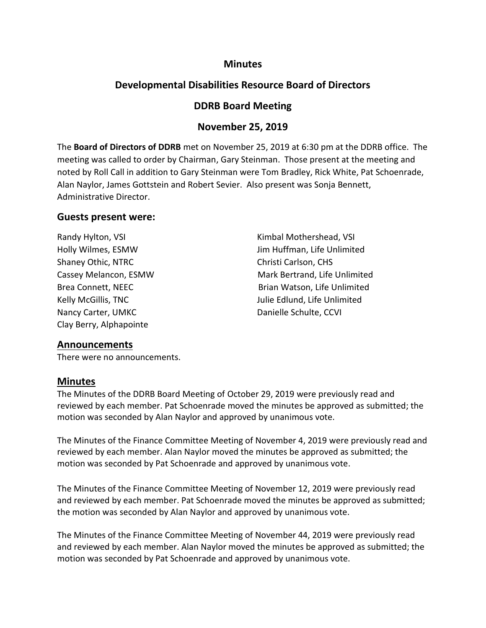# **Minutes**

# **Developmental Disabilities Resource Board of Directors**

# **DDRB Board Meeting**

# **November 25, 2019**

The **Board of Directors of DDRB** met on November 25, 2019 at 6:30 pm at the DDRB office. The meeting was called to order by Chairman, Gary Steinman. Those present at the meeting and noted by Roll Call in addition to Gary Steinman were Tom Bradley, Rick White, Pat Schoenrade, Alan Naylor, James Gottstein and Robert Sevier. Also present was Sonja Bennett, Administrative Director.

## **Guests present were:**

Randy Hylton, VSI **Kimbal Mothershead, VSI** Kimbal Mothershead, VSI Shaney Othic, NTRC Christi Carlson, CHS Nancy Carter, UMKC **Nancy Carter, UMKC** Danielle Schulte, CCVI Clay Berry, Alphapointe

Holly Wilmes, ESMW Jim Huffman, Life Unlimited Cassey Melancon, ESMW Mark Bertrand, Life Unlimited Brea Connett, NEEC Brian Watson, Life Unlimited Kelly McGillis, TNC **Matter Communist Communist Communist Communist Communist Communist Communist Communist Communist Communist Communist Communist Communist Communist Communist Communist Communist Communist Communist Comm** 

### **Announcements**

There were no announcements.

# **Minutes**

The Minutes of the DDRB Board Meeting of October 29, 2019 were previously read and reviewed by each member. Pat Schoenrade moved the minutes be approved as submitted; the motion was seconded by Alan Naylor and approved by unanimous vote.

The Minutes of the Finance Committee Meeting of November 4, 2019 were previously read and reviewed by each member. Alan Naylor moved the minutes be approved as submitted; the motion was seconded by Pat Schoenrade and approved by unanimous vote.

The Minutes of the Finance Committee Meeting of November 12, 2019 were previously read and reviewed by each member. Pat Schoenrade moved the minutes be approved as submitted; the motion was seconded by Alan Naylor and approved by unanimous vote.

The Minutes of the Finance Committee Meeting of November 44, 2019 were previously read and reviewed by each member. Alan Naylor moved the minutes be approved as submitted; the motion was seconded by Pat Schoenrade and approved by unanimous vote.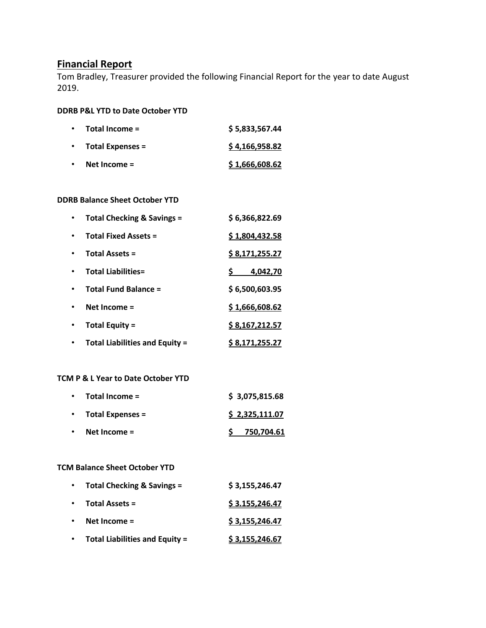# **Financial Report**

Tom Bradley, Treasurer provided the following Financial Report for the year to date August 2019.

#### **DDRB P&L YTD to Date October YTD**

| Total Income =          | \$5,833,567.44 |
|-------------------------|----------------|
| <b>Total Expenses =</b> | \$4,166,958.82 |
| Net Income $=$          | \$1,666,608.62 |

#### **DDRB Balance Sheet October YTD**

| Total Checking & Savings =            | \$6,366,822.69  |
|---------------------------------------|-----------------|
| <b>Total Fixed Assets =</b>           | \$1,804,432.58  |
| <b>Total Assets =</b>                 | \$8,171,255.27  |
| <b>Total Liabilities=</b>             | 4,042,70        |
| <b>Total Fund Balance =</b>           | \$6,500,603.95  |
| Net Income $=$                        | \$1,666,608.62  |
| <b>Total Equity =</b>                 | \$8,167,212.57  |
| <b>Total Liabilities and Equity =</b> | \$ 8,171,255.27 |

#### **TCM P & L Year to Date October YTD**

| $\bullet$ | Total Income =          | \$3,075,815.68 |
|-----------|-------------------------|----------------|
| $\bullet$ | <b>Total Expenses =</b> | \$2,325,111.07 |
| $\bullet$ | Net Income $=$          | \$ 750,704.61  |

#### **TCM Balance Sheet October YTD**

| $\bullet$ | Total Checking & Savings =            | \$3,155,246.47 |
|-----------|---------------------------------------|----------------|
| $\bullet$ | <b>Total Assets =</b>                 | \$3.155,246.47 |
| $\bullet$ | Net Income $=$                        | \$3,155,246.47 |
|           | <b>Total Liabilities and Equity =</b> | \$3,155,246.67 |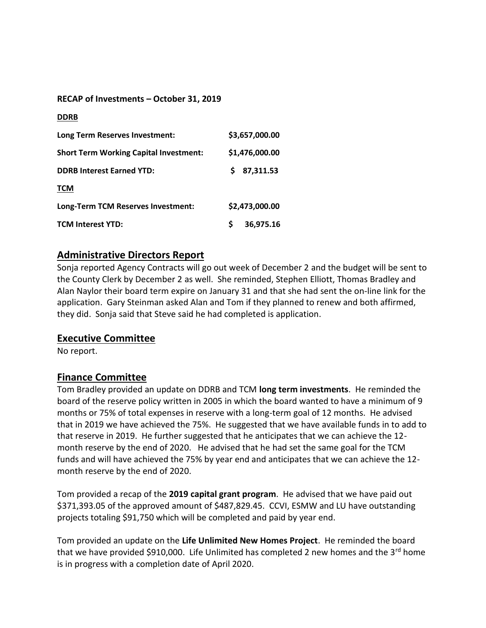#### **RECAP of Investments – October 31, 2019**

| <b>DDRB</b>                                   |    |                |
|-----------------------------------------------|----|----------------|
| Long Term Reserves Investment:                |    | \$3,657,000.00 |
| <b>Short Term Working Capital Investment:</b> |    | \$1,476,000.00 |
| <b>DDRB Interest Earned YTD:</b>              | S. | 87,311.53      |
| <b>TCM</b>                                    |    |                |
| Long-Term TCM Reserves Investment:            |    | \$2,473,000.00 |
| <b>TCM Interest YTD:</b>                      | Ś  | 36.975.16      |

# **Administrative Directors Report**

Sonja reported Agency Contracts will go out week of December 2 and the budget will be sent to the County Clerk by December 2 as well. She reminded, Stephen Elliott, Thomas Bradley and Alan Naylor their board term expire on January 31 and that she had sent the on-line link for the application. Gary Steinman asked Alan and Tom if they planned to renew and both affirmed, they did. Sonja said that Steve said he had completed is application.

# **Executive Committee**

No report.

# **Finance Committee**

Tom Bradley provided an update on DDRB and TCM **long term investments**. He reminded the board of the reserve policy written in 2005 in which the board wanted to have a minimum of 9 months or 75% of total expenses in reserve with a long-term goal of 12 months. He advised that in 2019 we have achieved the 75%. He suggested that we have available funds in to add to that reserve in 2019. He further suggested that he anticipates that we can achieve the 12 month reserve by the end of 2020. He advised that he had set the same goal for the TCM funds and will have achieved the 75% by year end and anticipates that we can achieve the 12 month reserve by the end of 2020.

Tom provided a recap of the **2019 capital grant program**. He advised that we have paid out \$371,393.05 of the approved amount of \$487,829.45. CCVI, ESMW and LU have outstanding projects totaling \$91,750 which will be completed and paid by year end.

Tom provided an update on the **Life Unlimited New Homes Project**. He reminded the board that we have provided \$910,000. Life Unlimited has completed 2 new homes and the  $3<sup>rd</sup>$  home is in progress with a completion date of April 2020.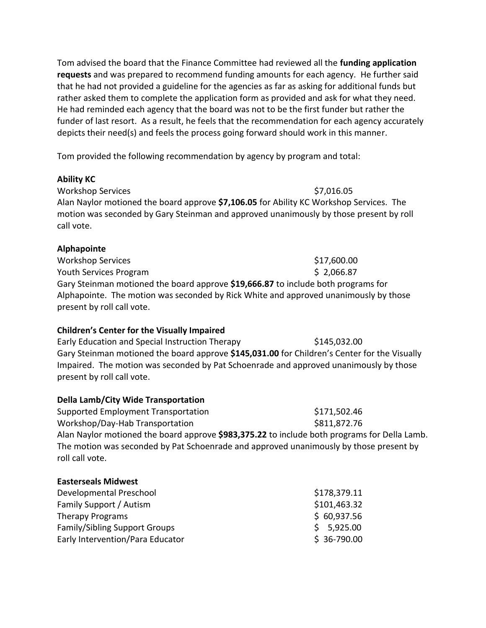Tom advised the board that the Finance Committee had reviewed all the **funding application requests** and was prepared to recommend funding amounts for each agency. He further said that he had not provided a guideline for the agencies as far as asking for additional funds but rather asked them to complete the application form as provided and ask for what they need. He had reminded each agency that the board was not to be the first funder but rather the funder of last resort. As a result, he feels that the recommendation for each agency accurately depicts their need(s) and feels the process going forward should work in this manner.

Tom provided the following recommendation by agency by program and total:

## **Ability KC**

Workshop Services  $\frac{1}{2}$  S7,016.05 Alan Naylor motioned the board approve **\$7,106.05** for Ability KC Workshop Services. The motion was seconded by Gary Steinman and approved unanimously by those present by roll call vote.

## **Alphapointe**

Workshop Services  $$17,600.00$ Youth Services Program  $\sim$  8 2,066.87 Gary Steinman motioned the board approve **\$19,666.87** to include both programs for Alphapointe. The motion was seconded by Rick White and approved unanimously by those present by roll call vote.

# **Children's Center for the Visually Impaired**

Early Education and Special Instruction Therapy  $$145,032.00$ Gary Steinman motioned the board approve **\$145,031.00** for Children's Center for the Visually Impaired. The motion was seconded by Pat Schoenrade and approved unanimously by those present by roll call vote.

# **Della Lamb/City Wide Transportation**

Supported Employment Transportation **\$171,502.46** Workshop/Day-Hab Transportation  $$811,872.76$ Alan Naylor motioned the board approve **\$983,375.22** to include both programs for Della Lamb. The motion was seconded by Pat Schoenrade and approved unanimously by those present by roll call vote.

### **Easterseals Midwest**

| Developmental Preschool              | \$178,379.11 |
|--------------------------------------|--------------|
| Family Support / Autism              | \$101,463.32 |
| <b>Therapy Programs</b>              | \$60,937.56  |
| <b>Family/Sibling Support Groups</b> | 5.925.00     |
| Early Intervention/Para Educator     | $$36-790.00$ |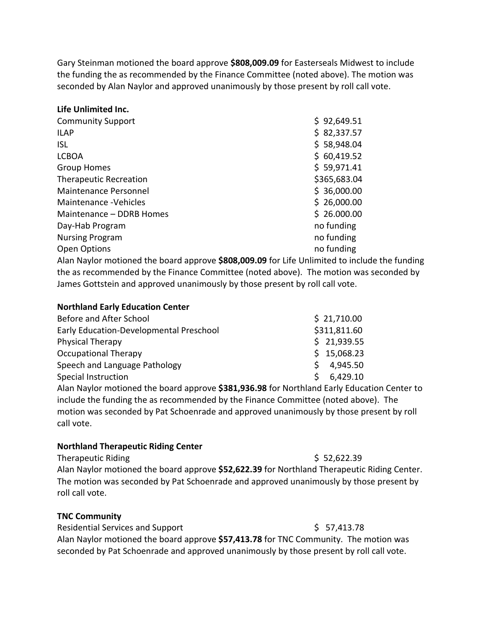Gary Steinman motioned the board approve **\$808,009.09** for Easterseals Midwest to include the funding the as recommended by the Finance Committee (noted above). The motion was seconded by Alan Naylor and approved unanimously by those present by roll call vote.

| Life Unlimited Inc.           |              |
|-------------------------------|--------------|
| <b>Community Support</b>      | \$92,649.51  |
| <b>ILAP</b>                   | \$82,337.57  |
| <b>ISL</b>                    | \$58,948.04  |
| <b>LCBOA</b>                  | \$60,419.52  |
| <b>Group Homes</b>            | \$59,971.41  |
| <b>Therapeutic Recreation</b> | \$365,683.04 |
| Maintenance Personnel         | \$36,000.00  |
| Maintenance - Vehicles        | \$26,000.00  |
| Maintenance – DDRB Homes      | \$26.000.00  |
| Day-Hab Program               | no funding   |
| <b>Nursing Program</b>        | no funding   |
| <b>Open Options</b>           | no funding   |
|                               | $\lambda$    |

Alan Naylor motioned the board approve **\$808,009.09** for Life Unlimited to include the funding the as recommended by the Finance Committee (noted above). The motion was seconded by James Gottstein and approved unanimously by those present by roll call vote.

| <b>Northland Early Education Center</b>                                       |   |              |
|-------------------------------------------------------------------------------|---|--------------|
| Before and After School                                                       |   | \$21,710.00  |
| Early Education-Developmental Preschool                                       |   | \$311,811.60 |
| Physical Therapy                                                              |   | \$21,939.55  |
| Occupational Therapy                                                          |   | \$15,068.23  |
| Speech and Language Pathology                                                 | S | 4,945.50     |
| Special Instruction                                                           | ς | 6,429.10     |
| Alan Naylor motioned the board annroye \$381 936 98 for Northland Farly Educa |   |              |

Alan Naylor motioned the board approve **\$381,936.98** for Northland Early Education Center to include the funding the as recommended by the Finance Committee (noted above). The motion was seconded by Pat Schoenrade and approved unanimously by those present by roll call vote.

### **Northland Therapeutic Riding Center**

Therapeutic Riding  $\frac{1}{2}$  52,622.39 Alan Naylor motioned the board approve **\$52,622.39** for Northland Therapeutic Riding Center. The motion was seconded by Pat Schoenrade and approved unanimously by those present by roll call vote.

### **TNC Community**

Residential Services and Support \$ 57,413.78 Alan Naylor motioned the board approve **\$57,413.78** for TNC Community. The motion was seconded by Pat Schoenrade and approved unanimously by those present by roll call vote.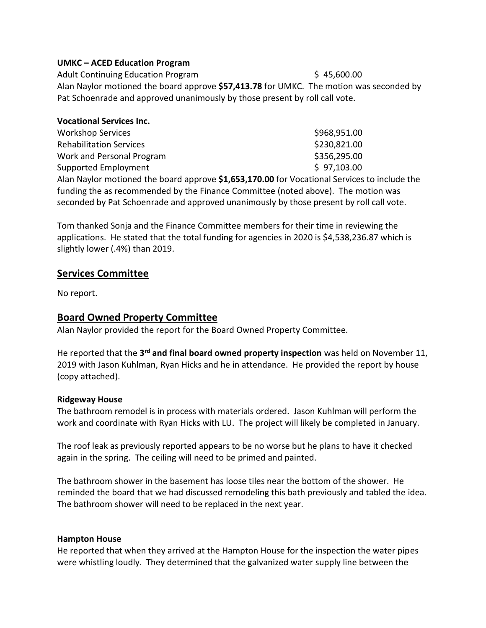### **UMKC – ACED Education Program**

Adult Continuing Education Program  $\lesssim 45,600.00$ Alan Naylor motioned the board approve **\$57,413.78** for UMKC. The motion was seconded by Pat Schoenrade and approved unanimously by those present by roll call vote.

| <b>Vocational Services Inc.</b>                                                              |              |
|----------------------------------------------------------------------------------------------|--------------|
| <b>Workshop Services</b>                                                                     | \$968,951.00 |
| <b>Rehabilitation Services</b>                                                               | \$230,821.00 |
| Work and Personal Program                                                                    | \$356,295.00 |
| Supported Employment                                                                         | \$97,103.00  |
| Alan Naylor motioned the board approve \$1,653,170.00 for Vocational Services to include the |              |
| funding the as recommended by the Finance Committee (noted above). The motion was            |              |

seconded by Pat Schoenrade and approved unanimously by those present by roll call vote.

Tom thanked Sonja and the Finance Committee members for their time in reviewing the applications. He stated that the total funding for agencies in 2020 is \$4,538,236.87 which is slightly lower (.4%) than 2019.

# **Services Committee**

No report.

# **Board Owned Property Committee**

Alan Naylor provided the report for the Board Owned Property Committee.

He reported that the 3<sup>rd</sup> and final board owned property inspection was held on November 11, 2019 with Jason Kuhlman, Ryan Hicks and he in attendance. He provided the report by house (copy attached).

### **Ridgeway House**

The bathroom remodel is in process with materials ordered. Jason Kuhlman will perform the work and coordinate with Ryan Hicks with LU. The project will likely be completed in January.

The roof leak as previously reported appears to be no worse but he plans to have it checked again in the spring. The ceiling will need to be primed and painted.

The bathroom shower in the basement has loose tiles near the bottom of the shower. He reminded the board that we had discussed remodeling this bath previously and tabled the idea. The bathroom shower will need to be replaced in the next year.

#### **Hampton House**

He reported that when they arrived at the Hampton House for the inspection the water pipes were whistling loudly. They determined that the galvanized water supply line between the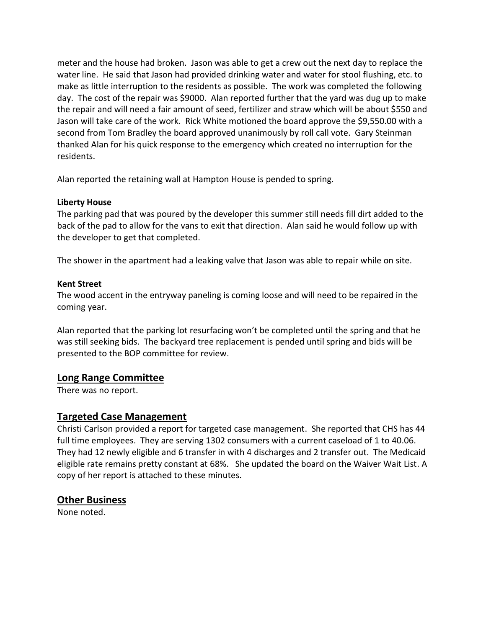meter and the house had broken. Jason was able to get a crew out the next day to replace the water line. He said that Jason had provided drinking water and water for stool flushing, etc. to make as little interruption to the residents as possible. The work was completed the following day. The cost of the repair was \$9000. Alan reported further that the yard was dug up to make the repair and will need a fair amount of seed, fertilizer and straw which will be about \$550 and Jason will take care of the work. Rick White motioned the board approve the \$9,550.00 with a second from Tom Bradley the board approved unanimously by roll call vote. Gary Steinman thanked Alan for his quick response to the emergency which created no interruption for the residents.

Alan reported the retaining wall at Hampton House is pended to spring.

# **Liberty House**

The parking pad that was poured by the developer this summer still needs fill dirt added to the back of the pad to allow for the vans to exit that direction. Alan said he would follow up with the developer to get that completed.

The shower in the apartment had a leaking valve that Jason was able to repair while on site.

# **Kent Street**

The wood accent in the entryway paneling is coming loose and will need to be repaired in the coming year.

Alan reported that the parking lot resurfacing won't be completed until the spring and that he was still seeking bids. The backyard tree replacement is pended until spring and bids will be presented to the BOP committee for review.

# **Long Range Committee**

There was no report.

# **Targeted Case Management**

Christi Carlson provided a report for targeted case management. She reported that CHS has 44 full time employees. They are serving 1302 consumers with a current caseload of 1 to 40.06. They had 12 newly eligible and 6 transfer in with 4 discharges and 2 transfer out. The Medicaid eligible rate remains pretty constant at 68%. She updated the board on the Waiver Wait List. A copy of her report is attached to these minutes.

# **Other Business**

None noted.